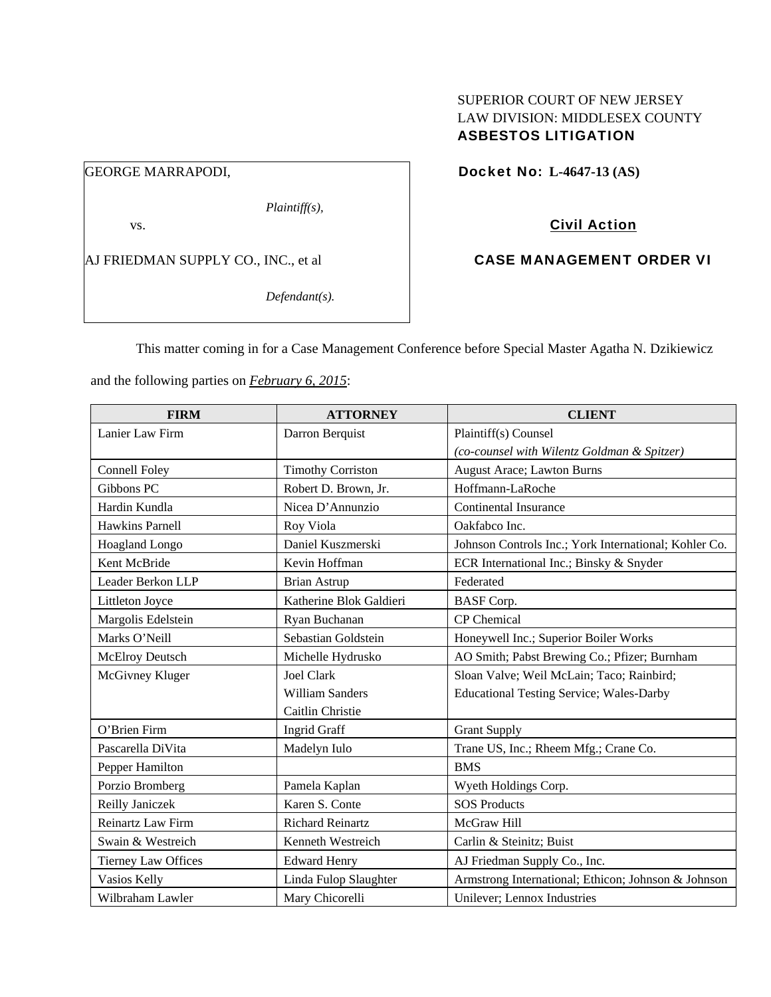## SUPERIOR COURT OF NEW JERSEY LAW DIVISION: MIDDLESEX COUNTY ASBESTOS LITIGATION

GEORGE MARRAPODI,

*Plaintiff(s),* 

vs.

AJ FRIEDMAN SUPPLY CO., INC., et al

*Defendant(s).* 

Docket No: **L-4647-13 (AS)** 

# Civil Action

## CASE MANAGEMENT ORDER VI

This matter coming in for a Case Management Conference before Special Master Agatha N. Dzikiewicz

and the following parties on *February 6, 2015*:

| <b>FIRM</b>                | <b>ATTORNEY</b>          | <b>CLIENT</b>                                         |
|----------------------------|--------------------------|-------------------------------------------------------|
| Lanier Law Firm            | Darron Berquist          | Plaintiff(s) Counsel                                  |
|                            |                          | (co-counsel with Wilentz Goldman & Spitzer)           |
| <b>Connell Foley</b>       | <b>Timothy Corriston</b> | August Arace; Lawton Burns                            |
| Gibbons PC                 | Robert D. Brown, Jr.     | Hoffmann-LaRoche                                      |
| Hardin Kundla              | Nicea D'Annunzio         | <b>Continental Insurance</b>                          |
| Hawkins Parnell            | Roy Viola                | Oakfabco Inc.                                         |
| Hoagland Longo             | Daniel Kuszmerski        | Johnson Controls Inc.; York International; Kohler Co. |
| Kent McBride               | Kevin Hoffman            | ECR International Inc.; Binsky & Snyder               |
| Leader Berkon LLP          | <b>Brian Astrup</b>      | Federated                                             |
| Littleton Joyce            | Katherine Blok Galdieri  | <b>BASF</b> Corp.                                     |
| Margolis Edelstein         | Ryan Buchanan            | CP Chemical                                           |
| Marks O'Neill              | Sebastian Goldstein      | Honeywell Inc.; Superior Boiler Works                 |
| <b>McElroy Deutsch</b>     | Michelle Hydrusko        | AO Smith; Pabst Brewing Co.; Pfizer; Burnham          |
| McGivney Kluger            | Joel Clark               | Sloan Valve; Weil McLain; Taco; Rainbird;             |
|                            | <b>William Sanders</b>   | <b>Educational Testing Service; Wales-Darby</b>       |
|                            | Caitlin Christie         |                                                       |
| O'Brien Firm               | <b>Ingrid Graff</b>      | <b>Grant Supply</b>                                   |
| Pascarella DiVita          | Madelyn Iulo             | Trane US, Inc.; Rheem Mfg.; Crane Co.                 |
| Pepper Hamilton            |                          | <b>BMS</b>                                            |
| Porzio Bromberg            | Pamela Kaplan            | Wyeth Holdings Corp.                                  |
| Reilly Janiczek            | Karen S. Conte           | <b>SOS Products</b>                                   |
| Reinartz Law Firm          | <b>Richard Reinartz</b>  | McGraw Hill                                           |
| Swain & Westreich          | Kenneth Westreich        | Carlin & Steinitz; Buist                              |
| <b>Tierney Law Offices</b> | <b>Edward Henry</b>      | AJ Friedman Supply Co., Inc.                          |
| Vasios Kelly               | Linda Fulop Slaughter    | Armstrong International; Ethicon; Johnson & Johnson   |
| Wilbraham Lawler           | Mary Chicorelli          | Unilever; Lennox Industries                           |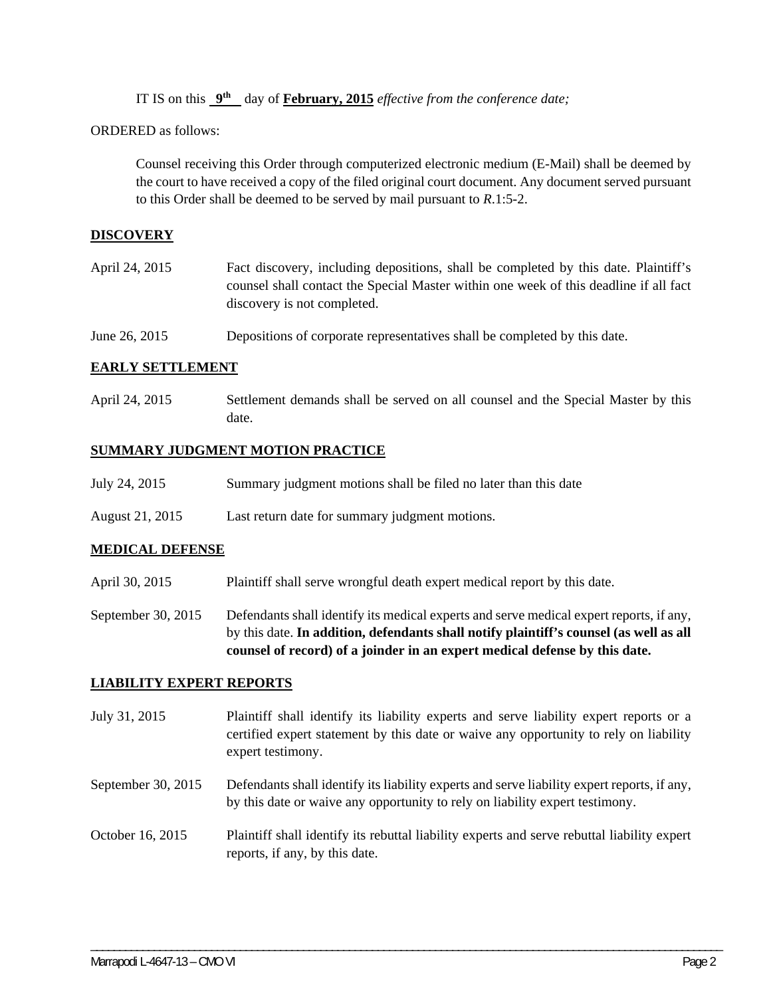IT IS on this **9th** day of **February, 2015** *effective from the conference date;*

ORDERED as follows:

Counsel receiving this Order through computerized electronic medium (E-Mail) shall be deemed by the court to have received a copy of the filed original court document. Any document served pursuant to this Order shall be deemed to be served by mail pursuant to *R*.1:5-2.

### **DISCOVERY**

| April 24, 2015 | Fact discovery, including depositions, shall be completed by this date. Plaintiff's   |
|----------------|---------------------------------------------------------------------------------------|
|                | counsel shall contact the Special Master within one week of this deadline if all fact |
|                | discovery is not completed.                                                           |
|                |                                                                                       |

June 26, 2015 Depositions of corporate representatives shall be completed by this date.

### **EARLY SETTLEMENT**

April 24, 2015 Settlement demands shall be served on all counsel and the Special Master by this date.

### **SUMMARY JUDGMENT MOTION PRACTICE**

- July 24, 2015 Summary judgment motions shall be filed no later than this date
- August 21, 2015 Last return date for summary judgment motions.

#### **MEDICAL DEFENSE**

- April 30, 2015 Plaintiff shall serve wrongful death expert medical report by this date.
- September 30, 2015 Defendants shall identify its medical experts and serve medical expert reports, if any, by this date. **In addition, defendants shall notify plaintiff's counsel (as well as all counsel of record) of a joinder in an expert medical defense by this date.**

#### **LIABILITY EXPERT REPORTS**

- July 31, 2015 Plaintiff shall identify its liability experts and serve liability expert reports or a certified expert statement by this date or waive any opportunity to rely on liability expert testimony.
- September 30, 2015 Defendants shall identify its liability experts and serve liability expert reports, if any, by this date or waive any opportunity to rely on liability expert testimony.
- October 16, 2015 Plaintiff shall identify its rebuttal liability experts and serve rebuttal liability expert reports, if any, by this date.

\_\_\_\_\_\_\_\_\_\_\_\_\_\_\_\_\_\_\_\_\_\_\_\_\_\_\_\_\_\_\_\_\_\_\_\_\_\_\_\_\_\_\_\_\_\_\_\_\_\_\_\_\_\_\_\_\_\_\_\_\_\_\_\_\_\_\_\_\_\_\_\_\_\_\_\_\_\_\_\_\_\_\_\_\_\_\_\_\_\_\_\_\_\_\_\_\_\_\_\_\_\_\_\_\_\_\_\_\_\_